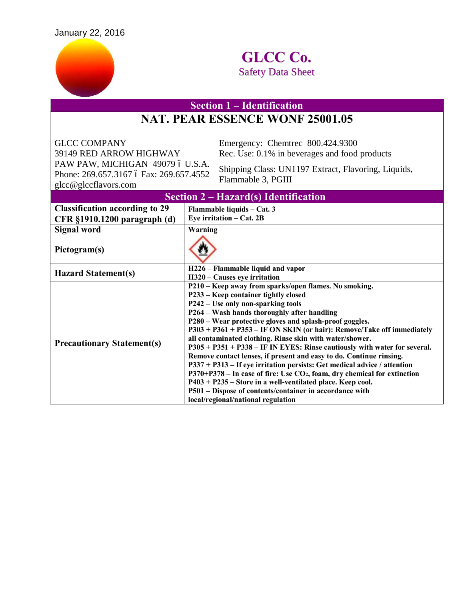

## **GLCC Co.** Safety Data Sheet

## **Section 1 – Identification NAT. PEAR ESSENCE WONF 25001.05**

GLCC COMPANY Emergency: Chemtrec 800.424.9300 PAW PAW, MICHIGAN 49079 ó U.S.A. Phone: 269.657.3167 ó Fax: 269.657.4552 glcc@glccflavors.com

39149 RED ARROW HIGHWAY Rec. Use: 0.1% in beverages and food products

Shipping Class: UN1197 Extract, Flavoring, Liquids, Flammable 3, PGIII

| <b>Section 2 – Hazard(s) Identification</b> |                                                                                        |  |  |  |
|---------------------------------------------|----------------------------------------------------------------------------------------|--|--|--|
| <b>Classification according to 29</b>       | Flammable liquids - Cat. 3                                                             |  |  |  |
| CFR §1910.1200 paragraph (d)                | Eye irritation $-$ Cat. 2B                                                             |  |  |  |
| Signal word                                 | Warning                                                                                |  |  |  |
| Pictogram(s)                                |                                                                                        |  |  |  |
| <b>Hazard Statement(s)</b>                  | H226 - Flammable liquid and vapor                                                      |  |  |  |
|                                             | H320 – Causes eye irritation                                                           |  |  |  |
| <b>Precautionary Statement(s)</b>           | P210 - Keep away from sparks/open flames. No smoking.                                  |  |  |  |
|                                             | P233 – Keep container tightly closed                                                   |  |  |  |
|                                             | P242 – Use only non-sparking tools                                                     |  |  |  |
|                                             | P264 – Wash hands thoroughly after handling                                            |  |  |  |
|                                             | P280 – Wear protective gloves and splash-proof goggles.                                |  |  |  |
|                                             | P303 + P361 + P353 - IF ON SKIN (or hair): Remove/Take off immediately                 |  |  |  |
|                                             | all contaminated clothing. Rinse skin with water/shower.                               |  |  |  |
|                                             | P305 + P351 + P338 – IF IN EYES: Rinse cautiously with water for several.              |  |  |  |
|                                             | Remove contact lenses, if present and easy to do. Continue rinsing.                    |  |  |  |
|                                             | $P337 + P313 - If eye irrational positive / attention$                                 |  |  |  |
|                                             | $P370+P378$ – In case of fire: Use CO <sub>2</sub> , foam, dry chemical for extinction |  |  |  |
|                                             | $P403 + P235$ – Store in a well-ventilated place. Keep cool.                           |  |  |  |
|                                             | P501 – Dispose of contents/container in accordance with                                |  |  |  |
|                                             | local/regional/national regulation                                                     |  |  |  |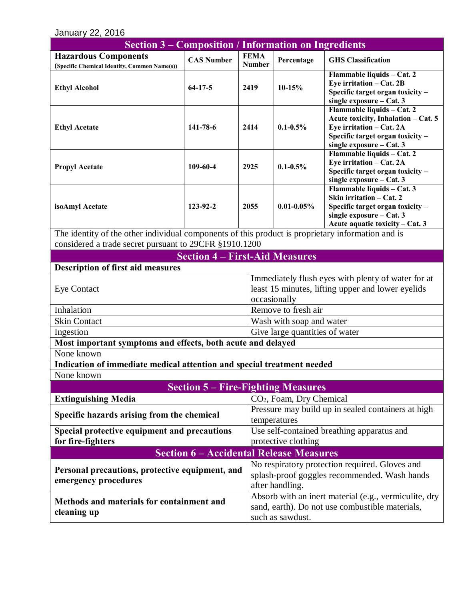## January 22, 2016

| <b>Section 3 – Composition / Information on Ingredients</b>                                       |                                                |                              |                                                                                                                              |                                                                                                                                                                 |  |
|---------------------------------------------------------------------------------------------------|------------------------------------------------|------------------------------|------------------------------------------------------------------------------------------------------------------------------|-----------------------------------------------------------------------------------------------------------------------------------------------------------------|--|
| <b>Hazardous Components</b><br>(Specific Chemical Identity, Common Name(s))                       | <b>CAS Number</b>                              | <b>FEMA</b><br><b>Number</b> | Percentage                                                                                                                   | <b>GHS Classification</b>                                                                                                                                       |  |
| <b>Ethyl Alcohol</b>                                                                              | $64-17-5$                                      | 2419                         | $10-15%$                                                                                                                     | Flammable liquids - Cat. 2<br>Eye irritation - Cat. 2B<br>Specific target organ toxicity -<br>single exposure - Cat. 3                                          |  |
| <b>Ethyl Acetate</b>                                                                              | $141 - 78 - 6$                                 | 2414                         | $0.1 - 0.5\%$                                                                                                                | Flammable liquids - Cat. 2<br>Acute toxicity, Inhalation - Cat. 5<br>Eye irritation - Cat. 2A<br>Specific target organ toxicity -<br>single exposure $-$ Cat. 3 |  |
| <b>Propyl Acetate</b>                                                                             | 109-60-4                                       | 2925                         | $0.1 - 0.5\%$                                                                                                                | Flammable liquids - Cat. 2<br>Eye irritation - Cat. 2A<br>Specific target organ toxicity -<br>single exposure - Cat. 3                                          |  |
| isoAmyl Acetate                                                                                   | $123 - 92 - 2$                                 | 2055                         | $0.01 - 0.05\%$                                                                                                              | Flammable liquids - Cat. 3<br>Skin irritation - Cat. 2<br>Specific target organ toxicity -<br>single exposure - Cat. 3<br>Acute aquatic toxicity - Cat. 3       |  |
| The identity of the other individual components of this product is proprietary information and is |                                                |                              |                                                                                                                              |                                                                                                                                                                 |  |
| considered a trade secret pursuant to 29CFR §1910.1200                                            |                                                |                              |                                                                                                                              |                                                                                                                                                                 |  |
|                                                                                                   | <b>Section 4 – First-Aid Measures</b>          |                              |                                                                                                                              |                                                                                                                                                                 |  |
| <b>Description of first aid measures</b>                                                          |                                                |                              |                                                                                                                              | Immediately flush eyes with plenty of water for at                                                                                                              |  |
| <b>Eye Contact</b>                                                                                |                                                |                              | least 15 minutes, lifting upper and lower eyelids<br>occasionally                                                            |                                                                                                                                                                 |  |
| Inhalation                                                                                        |                                                |                              | Remove to fresh air                                                                                                          |                                                                                                                                                                 |  |
| <b>Skin Contact</b>                                                                               |                                                |                              | Wash with soap and water                                                                                                     |                                                                                                                                                                 |  |
| Ingestion                                                                                         |                                                |                              | Give large quantities of water                                                                                               |                                                                                                                                                                 |  |
| Most important symptoms and effects, both acute and delayed                                       |                                                |                              |                                                                                                                              |                                                                                                                                                                 |  |
| None known                                                                                        |                                                |                              |                                                                                                                              |                                                                                                                                                                 |  |
| Indication of immediate medical attention and special treatment needed                            |                                                |                              |                                                                                                                              |                                                                                                                                                                 |  |
| None known                                                                                        |                                                |                              |                                                                                                                              |                                                                                                                                                                 |  |
| <b>Extinguishing Media</b>                                                                        | <b>Section 5 – Fire-Fighting Measures</b>      |                              |                                                                                                                              |                                                                                                                                                                 |  |
|                                                                                                   |                                                |                              | CO <sub>2</sub> , Foam, Dry Chemical<br>Pressure may build up in sealed containers at high                                   |                                                                                                                                                                 |  |
| Specific hazards arising from the chemical                                                        |                                                |                              | temperatures                                                                                                                 |                                                                                                                                                                 |  |
| Special protective equipment and precautions<br>for fire-fighters                                 |                                                |                              | Use self-contained breathing apparatus and<br>protective clothing                                                            |                                                                                                                                                                 |  |
|                                                                                                   | <b>Section 6 - Accidental Release Measures</b> |                              |                                                                                                                              |                                                                                                                                                                 |  |
| Personal precautions, protective equipment, and<br>emergency procedures                           |                                                |                              | No respiratory protection required. Gloves and<br>splash-proof goggles recommended. Wash hands<br>after handling.            |                                                                                                                                                                 |  |
| Methods and materials for containment and<br>cleaning up                                          |                                                |                              | Absorb with an inert material (e.g., vermiculite, dry<br>sand, earth). Do not use combustible materials,<br>such as sawdust. |                                                                                                                                                                 |  |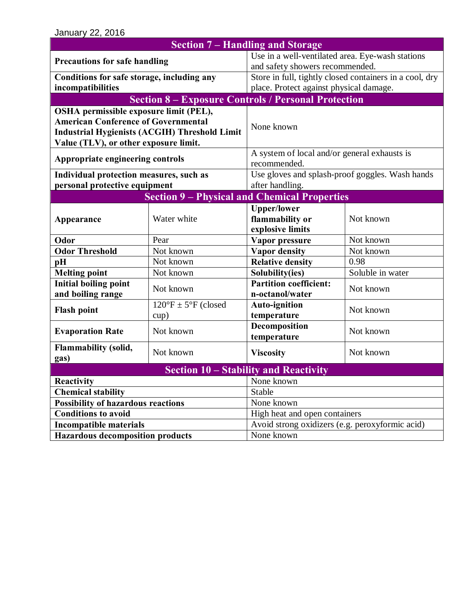| <b>Section 7 - Handling and Storage</b>                                  |                                                     |                                                                    |                  |  |
|--------------------------------------------------------------------------|-----------------------------------------------------|--------------------------------------------------------------------|------------------|--|
| <b>Precautions for safe handling</b>                                     |                                                     | Use in a well-ventilated area. Eye-wash stations                   |                  |  |
|                                                                          |                                                     | and safety showers recommended.                                    |                  |  |
| Conditions for safe storage, including any                               |                                                     | Store in full, tightly closed containers in a cool, dry            |                  |  |
| incompatibilities                                                        |                                                     | place. Protect against physical damage.                            |                  |  |
| <b>Section 8 – Exposure Controls / Personal Protection</b>               |                                                     |                                                                    |                  |  |
| OSHA permissible exposure limit (PEL),                                   |                                                     |                                                                    |                  |  |
| <b>American Conference of Governmental</b>                               |                                                     | None known                                                         |                  |  |
| <b>Industrial Hygienists (ACGIH) Threshold Limit</b>                     |                                                     |                                                                    |                  |  |
| Value (TLV), or other exposure limit.                                    |                                                     |                                                                    |                  |  |
| Appropriate engineering controls                                         |                                                     | A system of local and/or general exhausts is                       |                  |  |
|                                                                          |                                                     | recommended.                                                       |                  |  |
| Individual protection measures, such as<br>personal protective equipment |                                                     | Use gloves and splash-proof goggles. Wash hands<br>after handling. |                  |  |
|                                                                          |                                                     |                                                                    |                  |  |
|                                                                          | <b>Section 9 – Physical and Chemical Properties</b> |                                                                    |                  |  |
|                                                                          |                                                     | <b>Upper/lower</b>                                                 | Not known        |  |
| Appearance                                                               | Water white                                         | flammability or                                                    |                  |  |
| Odor                                                                     | Pear                                                | explosive limits<br>Vapor pressure                                 | Not known        |  |
| <b>Odor Threshold</b>                                                    | Not known                                           | <b>Vapor density</b>                                               | Not known        |  |
| pH                                                                       | Not known                                           | <b>Relative density</b>                                            | 0.98             |  |
| <b>Melting point</b>                                                     | Not known                                           | Solubility(ies)                                                    | Soluble in water |  |
| <b>Initial boiling point</b>                                             |                                                     | <b>Partition coefficient:</b>                                      |                  |  |
| and boiling range                                                        | Not known                                           | n-octanol/water                                                    | Not known        |  |
| <b>Flash point</b>                                                       | $120^{\circ}F \pm 5^{\circ}F$ (closed               | <b>Auto-ignition</b>                                               |                  |  |
|                                                                          | cup)                                                | temperature                                                        | Not known        |  |
| <b>Evaporation Rate</b>                                                  | Not known                                           | Decomposition                                                      | Not known        |  |
|                                                                          |                                                     | temperature                                                        |                  |  |
| <b>Flammability (solid,</b>                                              | Not known                                           | <b>Viscosity</b>                                                   | Not known        |  |
| gas)                                                                     |                                                     |                                                                    |                  |  |
| <b>Section 10 – Stability and Reactivity</b>                             |                                                     |                                                                    |                  |  |
| Reactivity                                                               |                                                     | None known                                                         |                  |  |
| <b>Chemical stability</b>                                                |                                                     | Stable                                                             |                  |  |
| <b>Possibility of hazardous reactions</b>                                |                                                     | None known                                                         |                  |  |
| <b>Conditions to avoid</b>                                               |                                                     | High heat and open containers                                      |                  |  |
| <b>Incompatible materials</b>                                            |                                                     | Avoid strong oxidizers (e.g. peroxyformic acid)                    |                  |  |
| <b>Hazardous decomposition products</b>                                  |                                                     | None known                                                         |                  |  |